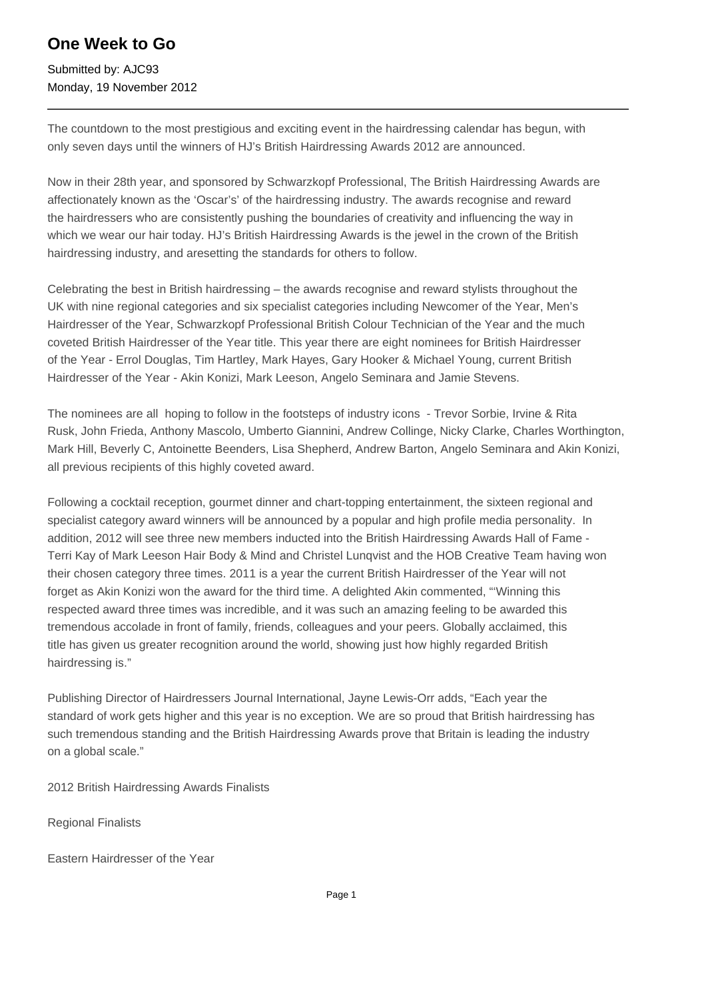## **One Week to Go**

Submitted by: AJC93 Monday, 19 November 2012

The countdown to the most prestigious and exciting event in the hairdressing calendar has begun, with only seven days until the winners of HJ's British Hairdressing Awards 2012 are announced.

Now in their 28th year, and sponsored by Schwarzkopf Professional, The British Hairdressing Awards are affectionately known as the 'Oscar's' of the hairdressing industry. The awards recognise and reward the hairdressers who are consistently pushing the boundaries of creativity and influencing the way in which we wear our hair today. HJ's British Hairdressing Awards is the jewel in the crown of the British hairdressing industry, and aresetting the standards for others to follow.

Celebrating the best in British hairdressing – the awards recognise and reward stylists throughout the UK with nine regional categories and six specialist categories including Newcomer of the Year, Men's Hairdresser of the Year, Schwarzkopf Professional British Colour Technician of the Year and the much coveted British Hairdresser of the Year title. This year there are eight nominees for British Hairdresser of the Year - Errol Douglas, Tim Hartley, Mark Hayes, Gary Hooker & Michael Young, current British Hairdresser of the Year - Akin Konizi, Mark Leeson, Angelo Seminara and Jamie Stevens.

The nominees are all hoping to follow in the footsteps of industry icons - Trevor Sorbie, Irvine & Rita Rusk, John Frieda, Anthony Mascolo, Umberto Giannini, Andrew Collinge, Nicky Clarke, Charles Worthington, Mark Hill, Beverly C, Antoinette Beenders, Lisa Shepherd, Andrew Barton, Angelo Seminara and Akin Konizi, all previous recipients of this highly coveted award.

Following a cocktail reception, gourmet dinner and chart-topping entertainment, the sixteen regional and specialist category award winners will be announced by a popular and high profile media personality. In addition, 2012 will see three new members inducted into the British Hairdressing Awards Hall of Fame - Terri Kay of Mark Leeson Hair Body & Mind and Christel Lunqvist and the HOB Creative Team having won their chosen category three times. 2011 is a year the current British Hairdresser of the Year will not forget as Akin Konizi won the award for the third time. A delighted Akin commented, "'Winning this respected award three times was incredible, and it was such an amazing feeling to be awarded this tremendous accolade in front of family, friends, colleagues and your peers. Globally acclaimed, this title has given us greater recognition around the world, showing just how highly regarded British hairdressing is."

Publishing Director of Hairdressers Journal International, Jayne Lewis-Orr adds, "Each year the standard of work gets higher and this year is no exception. We are so proud that British hairdressing has such tremendous standing and the British Hairdressing Awards prove that Britain is leading the industry on a global scale."

2012 British Hairdressing Awards Finalists

Regional Finalists 

Eastern Hairdresser of the Year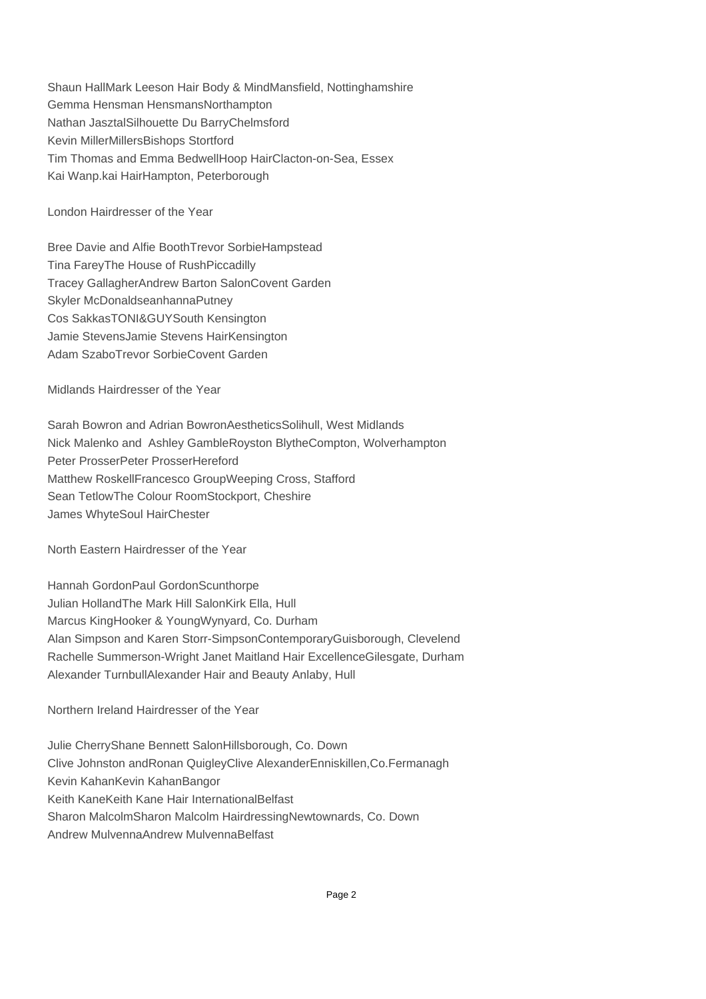Shaun Hall Mark Leeson Hair Body & Mind Mansfield, Nottinghamshire Gemma Hensman Hensmans Northampton Nathan Jasztal Silhouette Du Barry Chelmsford Kevin Miller Millers Bishops Stortford Tim Thomas and Emma Bedwell Hoop Hair Clacton-on-Sea, Essex Kai Wan p.kai Hair Hampton, Peterborough

London Hairdresser of the Year

Bree Davie and Alfie Booth Trevor Sorbie Hampstead Tina Farey The House of Rush Piccadilly Tracey Gallagher Andrew Barton Salon Covent Garden Skyler McDonald seanhanna Putney Cos Sakkas TONI&GUY South Kensington Jamie Stevens Jamie Stevens Hair Kensington Adam Szabo Trevor Sorbie Covent Garden

Midlands Hairdresser of the Year

Sarah Bowron and Adrian Bowron Aesthetics Solihull, West Midlands Nick Malenko and Ashley Gamble Royston Blythe Compton, Wolverhampton Peter Prosser Peter Prosser Hereford Matthew Roskell Francesco Group Weeping Cross, Stafford Sean Tetlow The Colour Room Stockport, Cheshire James Whyte Soul Hair Chester

North Eastern Hairdresser of the Year

Hannah Gordon Paul Gordon Scunthorpe Julian Holland The Mark Hill Salon Kirk Ella, Hull Marcus King Hooker & Young Wynyard, Co. Durham Alan Simpson and Karen Storr-Simpson Contemporary Guisborough, Clevelend Rachelle Summerson-Wright Janet Maitland Hair Excellence Gilesgate, Durham Alexander Turnbull Alexander Hair and Beauty Anlaby, Hull

Northern Ireland Hairdresser of the Year

Julie Cherry Shane Bennett Salon Hillsborough, Co. Down Clive Johnston and Ronan Quigley Clive Alexander Enniskillen, Co. Fermanagh Kevin Kahan Kevin Kahan Bangor Keith Kane Keith Kane Hair International Belfast Sharon Malcolm Sharon Malcolm Hairdressing Newtownards, Co. Down Andrew Mulvenna Andrew Mulvenna Belfast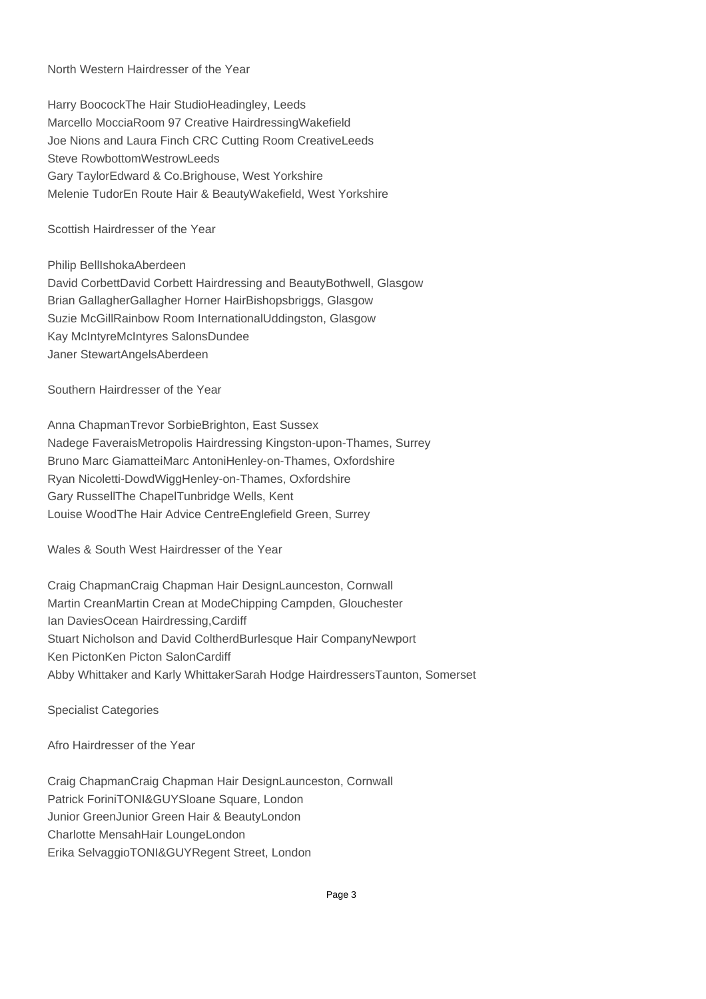## North Western Hairdresser of the Year

Harry Boocock The Hair Studio Headingley, Leeds Marcello Moccia Room 97 Creative Hairdressing Wakefield Joe Nions and Laura Finch CRC Cutting Room Creative Leeds Steve Rowbottom Westrow Leeds Gary Taylor Edward & Co. Brighouse, West Yorkshire Melenie Tudor En Route Hair & Beauty Wakefield, West Yorkshire

Scottish Hairdresser of the Year

Philip Bell Ishoka Aberdeen David Corbett David Corbett Hairdressing and Beauty Bothwell, Glasgow Brian Gallagher Gallagher Horner Hair Bishopsbriggs, Glasgow Suzie McGill Rainbow Room International Uddingston, Glasgow Kay McIntyre McIntyres Salons Dundee Janer Stewart Angels Aberdeen

Southern Hairdresser of the Year

Anna Chapman Trevor Sorbie Brighton, East Sussex Nadege Faverais Metropolis Hairdressing Kingston-upon-Thames, Surrey Bruno Marc Giamattei Marc Antoni Henley-on-Thames, Oxfordshire Ryan Nicoletti-Dowd Wigg Henley-on-Thames, Oxfordshire Gary Russell The Chapel Tunbridge Wells, Kent Louise Wood The Hair Advice Centre Englefield Green, Surrey

Wales & South West Hairdresser of the Year

Craig Chapman Craig Chapman Hair Design Launceston, Cornwall Martin Crean Martin Crean at Mode Chipping Campden, Glouchester Ian Davies Ocean Hairdressing, Cardiff Stuart Nicholson and David Coltherd Burlesque Hair Company Newport Ken Picton Ken Picton Salon Cardiff Abby Whittaker and Karly Whittaker Sarah Hodge Hairdressers Taunton, Somerset

Specialist Categories

Afro Hairdresser of the Year

Craig Chapman Craig Chapman Hair Design Launceston, Cornwall Patrick Forini TONI&GUY Sloane Square, London Junior Green Junior Green Hair & Beauty London Charlotte Mensah Hair Lounge London Erika Selvaggio TONI&GUY Regent Street, London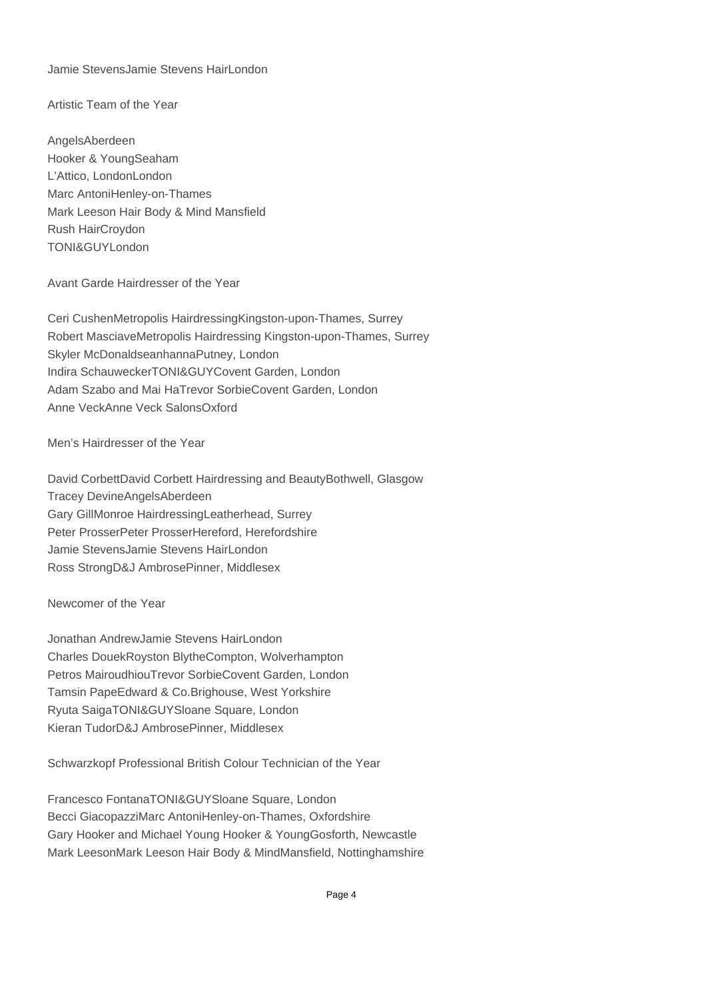Jamie Stevens Jamie Stevens Hair London

Artistic Team of the Year

Angels Aberdeen Hooker & Young Seaham L'Attico, London London Marc Antoni Henley-on-Thames Mark Leeson Hair Body & Mind Mansfield Rush Hair Croydon TONI&GUY London

Avant Garde Hairdresser of the Year

Ceri Cushen Metropolis Hairdressing Kingston-upon-Thames, Surrey Robert Masciave Metropolis Hairdressing Kingston-upon-Thames, Surrey Skyler McDonald seanhanna Putney, London Indira Schauwecker TONI&GUY Covent Garden, London Adam Szabo and Mai Ha Trevor Sorbie Covent Garden, London Anne Veck Anne Veck Salons Oxford

Men's Hairdresser of the Year

David Corbett David Corbett Hairdressing and Beauty Bothwell, Glasgow Tracey Devine Angels Aberdeen Gary Gill Monroe Hairdressing Leatherhead, Surrey Peter Prosser Peter Prosser Hereford, Herefordshire Jamie Stevens Jamie Stevens Hair London Ross Strong D&J Ambrose Pinner, Middlesex

Newcomer of the Year

Jonathan Andrew Jamie Stevens Hair London Charles Douek Royston Blythe Compton, Wolverhampton Petros Mairoudhiou Trevor Sorbie Covent Garden, London Tamsin Pape Edward & Co. Brighouse, West Yorkshire Ryuta Saiga TONI&GUY Sloane Square, London Kieran Tudor D&J Ambrose Pinner, Middlesex

Schwarzkopf Professional British Colour Technician of the Year

Francesco Fontana TONI&GUY Sloane Square, London Becci Giacopazzi Marc Antoni Henley-on-Thames, Oxfordshire Gary Hooker and Michael Young Hooker & Young Gosforth, Newcastle Mark Leeson Mark Leeson Hair Body & Mind Mansfield, Nottinghamshire